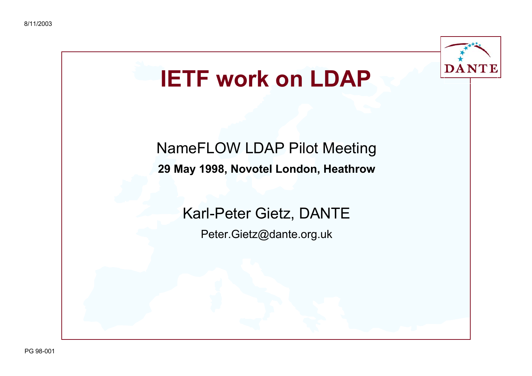

# **IETF work on LDAP**

### NameFLOW LDAP Pilot Meeting **29 May 1998, Novotel London, Heathrow**

### Karl-Peter Gietz, DANTE

Peter.Gietz@dante.org.uk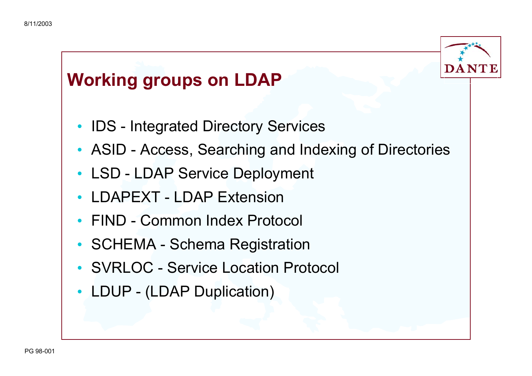

### **Working groups on LDAP**

- IDS Integrated Directory Services
- ASID Access, Searching and Indexing of Directories
- LSD LDAP Service Deployment
- LDAPEXT LDAP Extension
- FIND Common Index Protocol
- SCHEMA Schema Registration
- SVRLOC Service Location Protocol
- LDUP (LDAP Duplication)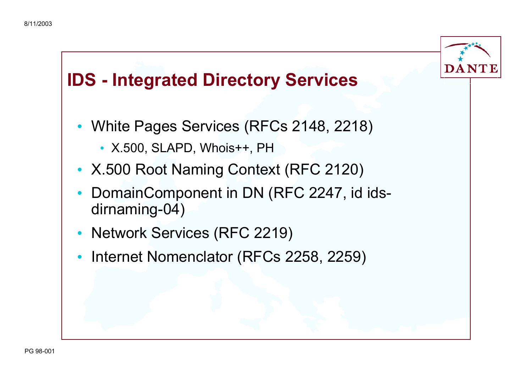

### **IDS - Integrated Directory Services**

- White Pages Services (RFCs 2148, 2218)
	- X.500, SLAPD, Whois++, PH
- X.500 Root Naming Context (RFC 2120)
- • DomainComponent in DN (RFC 2247, id idsdirnaming-04)
- Network Services (RFC 2219)
- Internet Nomenclator (RFCs 2258, 2259)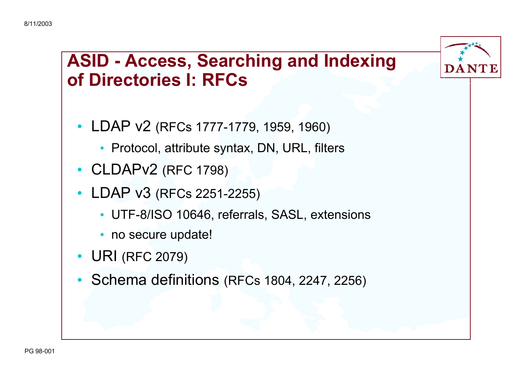### **ASID - Access, Searching and Indexing of Directories I: RFCs**

DA N'I

- LDAP v2 (RFCs 1777-1779, 1959, 1960)
	- Protocol, attribute syntax, DN, URL, filters
- CLDAPv2 (RFC 1798)
- LDAP v3 (RFCs 2251-2255)
	- UTF-8/ISO 10646, referrals, SASL, extensions
	- no secure update!
- URI (RFC 2079)
- Schema definitions (RFCs 1804, 2247, 2256)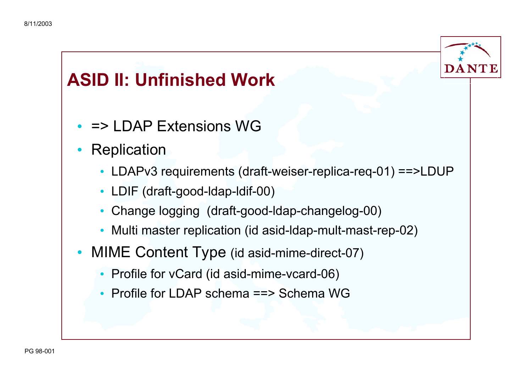

### **ASID II: Unfinished Work**

- = > LDAP Extensions WG
- $\bullet$ **Replication** 
	- LDAPv3 requirements (draft-weiser-replica-req-01) ==>LDUP
	- LDIF (draft-good-ldap-ldif-00)
	- •Change logging (draft-good-ldap-changelog-00)
	- Multi master replication (id asid-ldap-mult-mast-rep-02)
- MIME Content Type (id asid-mime-direct-07)
	- Profile for vCard (id asid-mime-vcard-06)
	- Profile for LDAP schema ==> Schema WG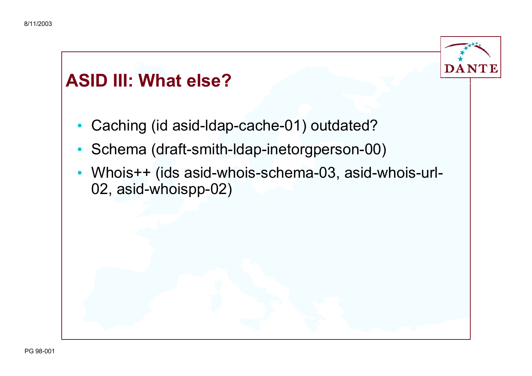

### **ASID III: What else?**

- •Caching (id asid-ldap-cache-01) outdated?
- $\bullet$ Schema (draft-smith-ldap-inetorgperson-00)
- Whois++ (ids asid-whois-schema-03, asid-whois-url-02, asid-whoispp-02)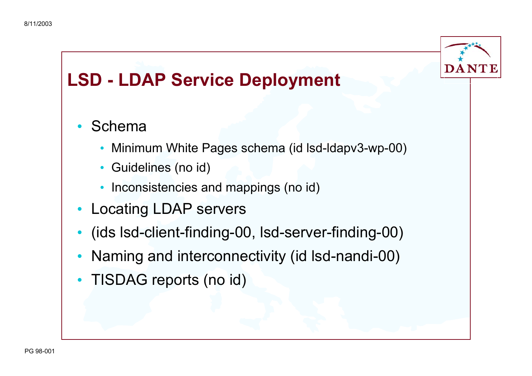

### **LSD - LDAP Service Deployment**

#### •Schema

- Minimum White Pages schema (id lsd-ldapv3-wp-00)
- $\bullet$ Guidelines (no id)
- Inconsistencies and mappings (no id)
- Locating LDAP servers
- (ids lsd-client-finding-00, lsd-server-finding-00)
- Naming and interconnectivity (id lsd-nandi-00)
- TISDAG reports (no id)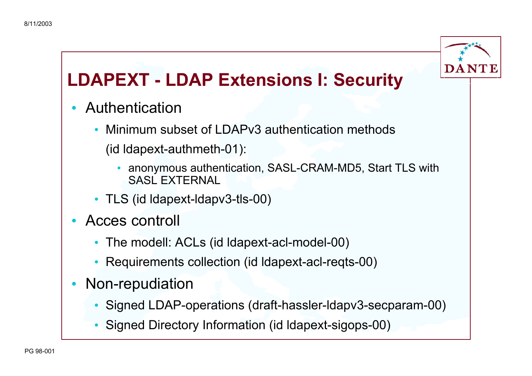

## **LDAPEXT - LDAP Extensions I: Security**

- • Authentication
	- • Minimum subset of LDAPv3 authentication methods (id ldapext-authmeth-01):
		- • anonymous authentication, SASL-CRAM-MD5, Start TLS with SASL EXTERNAL
	- TLS (id ldapext-ldapv3-tls-00)
- Acces controll
	- The modell: ACLs (id ldapext-acl-model-00)
	- •Requirements collection (id ldapext-acl-reqts-00)
- • Non-repudiation
	- Signed LDAP-operations (draft-hassler-ldapv3-secparam-00)
	- Signed Directory Information (id ldapext-sigops-00)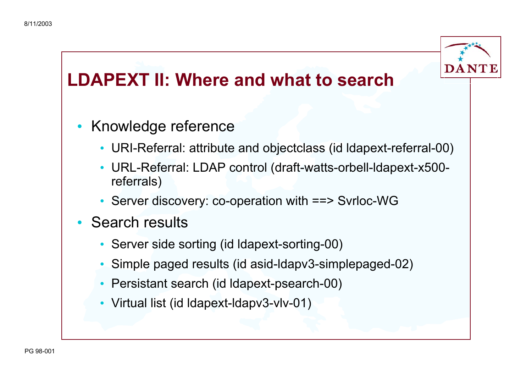

## **LDAPEXT II: Where and what to search**

- Knowledge reference
	- URI-Referral: attribute and objectclass (id ldapext-referral-00)
	- • URL-Referral: LDAP control (draft-watts-orbell-ldapext-x500 referrals)
	- Server discovery: co-operation with ==> Svrloc-WG
- Search results
	- Server side sorting (id ldapext-sorting-00)
	- •Simple paged results (id asid-ldapv3-simplepaged-02)
	- Persistant search (id ldapext-psearch-00)
	- Virtual list (id ldapext-ldapv3-vlv-01)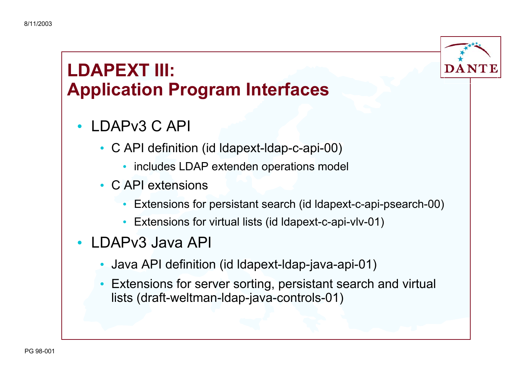

### **LDAPEXT III: Application Program Interfaces**

- LDAPv3 C API
	- C API definition (id ldapext-ldap-c-api-00)
		- includes LDAP extenden operations model
	- C API extensions
		- Extensions for persistant search (id ldapext-c-api-psearch-00)
		- Extensions for virtual lists (id ldapext-c-api-vlv-01)
- LDAPv3 Java API
	- Java API definition (id ldapext-ldap-java-api-01)
	- $\bullet$  Extensions for server sorting, persistant search and virtual lists (draft-weltman-ldap-java-controls-01)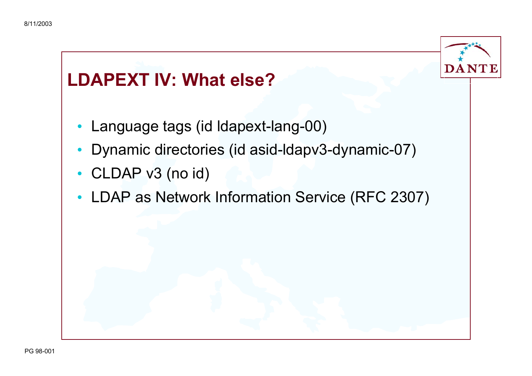

### **LDAPEXT IV: What else?**

- •Language tags (id ldapext-lang-00)
- Dynamic directories (id asid-ldapv3-dynamic-07)
- CLDAP v3 (no id)
- LDAP as Network Information Service (RFC 2307)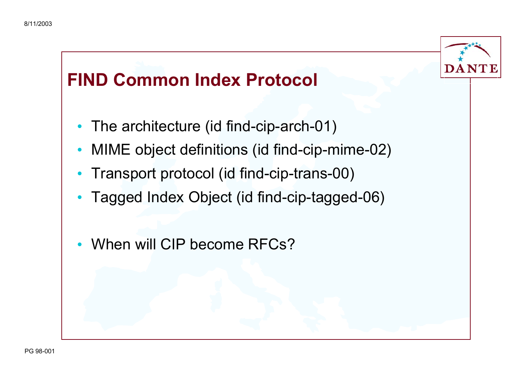

### **FIND Common Index Protocol**

- The architecture (id find-cip-arch-01)
- MIME object definitions (id find-cip-mime-02)
- Transport protocol (id find-cip-trans-00)
- Tagged Index Object (id find-cip-tagged-06)
- •• When will CIP become RFCs?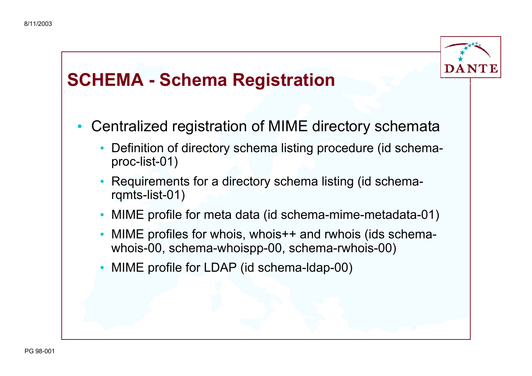

### **SCHEMA - Schema Registration**

- $\bullet$  Centralized registration of MIME directory schemata
	- Definition of directory schema listing procedure (id schemaproc-list-01)
	- • Requirements for a directory schema listing (id schemarqmts-list-01)
	- MIME profile for meta data (id schema-mime-metadata-01)
	- • MIME profiles for whois, whois++ and rwhois (ids schemawhois-00, schema-whoispp-00, schema-rwhois-00)
	- •MIME profile for LDAP (id schema-ldap-00)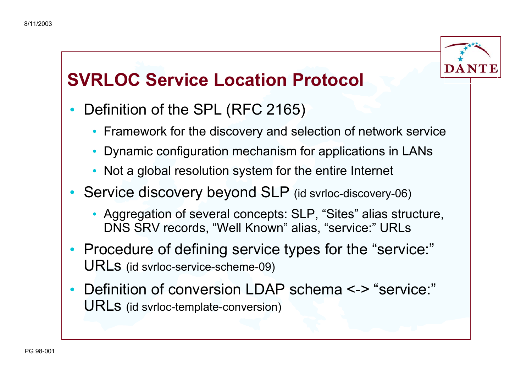

### **SVRLOC Service Location Protocol**

- • Definition of the SPL (RFC 2165)
	- Framework for the discovery and selection of network service
	- Dynamic configuration mechanism for applications in LANs
	- Not a global resolution system for the entire Internet
- Service discovery beyond SLP (id svrloc-discovery-06)
	- Aggregation of several concepts: SLP, "Sites" alias structure, DNS SRV records, "Well Known" alias, "service:" URLs
- Procedure of defining service types for the "service:" URLs (id svrloc-service-scheme-09)
- •Definition of conversion LDAP schema <-> "service:" URLs (id svrloc-template-conversion)